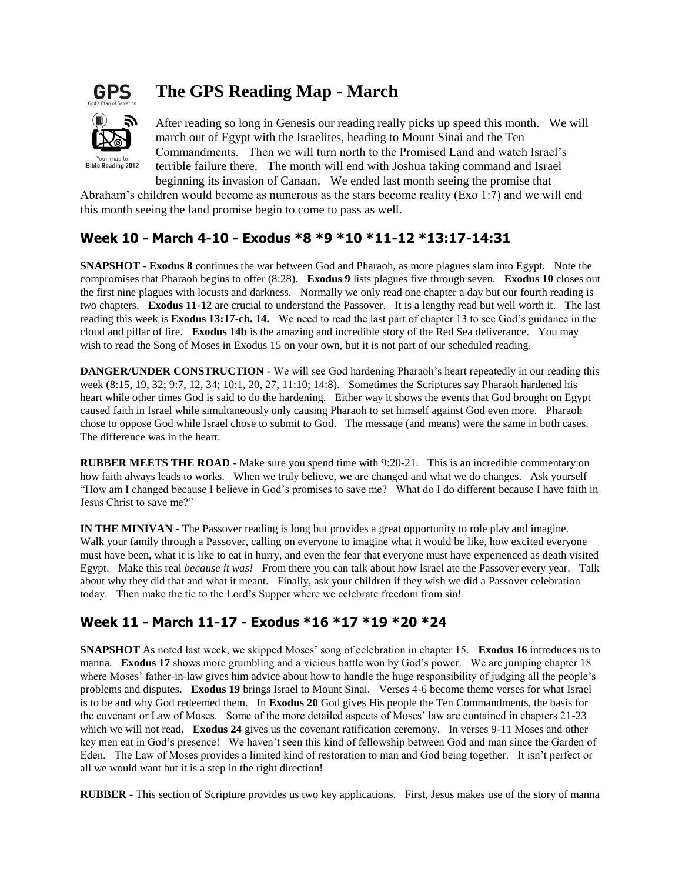

# **The GPS Reading Map - March**



After reading so long in Genesis our reading really picks up speed this month. We will march out of Egypt with the Israelites, heading to Mount Sinai and the Ten Commandments. Then we will turn north to the Promised Land and watch Israel's terrible failure there. The month will end with Joshua taking command and Israel beginning its invasion of Canaan. We ended last month seeing the promise that

Abraham's children would become as numerous as the stars become reality (Exo 1:7) and we will end this month seeing the land promise begin to come to pass as well.

### **Week 10 - March 4-10 - Exodus \*8 \*9 \*10 \*11-12 \*13:17-14:31**

**SNAPSHOT** - **Exodus 8** continues the war between God and Pharaoh, as more plagues slam into Egypt. Note the compromises that Pharaoh begins to offer (8:28). **Exodus 9** lists plagues five through seven. **Exodus 10** closes out the first nine plagues with locusts and darkness. Normally we only read one chapter a day but our fourth reading is two chapters. **Exodus 11-12** are crucial to understand the Passover. It is a lengthy read but well worth it. The last reading this week is **Exodus 13:17-ch. 14.** We need to read the last part of chapter 13 to see God's guidance in the cloud and pillar of fire. **Exodus 14b** is the amazing and incredible story of the Red Sea deliverance. You may wish to read the Song of Moses in Exodus 15 on your own, but it is not part of our scheduled reading.

**DANGER/UNDER CONSTRUCTION -** We will see God hardening Pharaoh's heart repeatedly in our reading this week (8:15, 19, 32; 9:7, 12, 34; 10:1, 20, 27, 11:10; 14:8). Sometimes the Scriptures say Pharaoh hardened his heart while other times God is said to do the hardening. Either way it shows the events that God brought on Egypt caused faith in Israel while simultaneously only causing Pharaoh to set himself against God even more. Pharaoh chose to oppose God while Israel chose to submit to God. The message (and means) were the same in both cases. The difference was in the heart.

**RUBBER MEETS THE ROAD -** Make sure you spend time with 9:20-21. This is an incredible commentary on how faith always leads to works. When we truly believe, we are changed and what we do changes. Ask yourself "How am I changed because I believe in God's promises to save me? What do I do different because I have faith in Jesus Christ to save me?"

**IN THE MINIVAN -** The Passover reading is long but provides a great opportunity to role play and imagine. Walk your family through a Passover, calling on everyone to imagine what it would be like, how excited everyone must have been, what it is like to eat in hurry, and even the fear that everyone must have experienced as death visited Egypt. Make this real *because it was!* From there you can talk about how Israel ate the Passover every year. Talk about why they did that and what it meant. Finally, ask your children if they wish we did a Passover celebration today. Then make the tie to the Lord's Supper where we celebrate freedom from sin!

## **Week 11 - March 11-17 - Exodus \*16 \*17 \*19 \*20 \*24**

**SNAPSHOT** As noted last week, we skipped Moses' song of celebration in chapter 15. **Exodus 16** introduces us to manna. **Exodus 17** shows more grumbling and a vicious battle won by God's power. We are jumping chapter 18 where Moses' father-in-law gives him advice about how to handle the huge responsibility of judging all the people's problems and disputes. **Exodus 19** brings Israel to Mount Sinai. Verses 4-6 become theme verses for what Israel is to be and why God redeemed them. In **Exodus 20** God gives His people the Ten Commandments, the basis for the covenant or Law of Moses. Some of the more detailed aspects of Moses' law are contained in chapters 21-23 which we will not read. **Exodus 24** gives us the covenant ratification ceremony. In verses 9-11 Moses and other key men eat in God's presence! We haven't seen this kind of fellowship between God and man since the Garden of Eden. The Law of Moses provides a limited kind of restoration to man and God being together. It isn't perfect or all we would want but it is a step in the right direction!

**RUBBER -** This section of Scripture provides us two key applications. First, Jesus makes use of the story of manna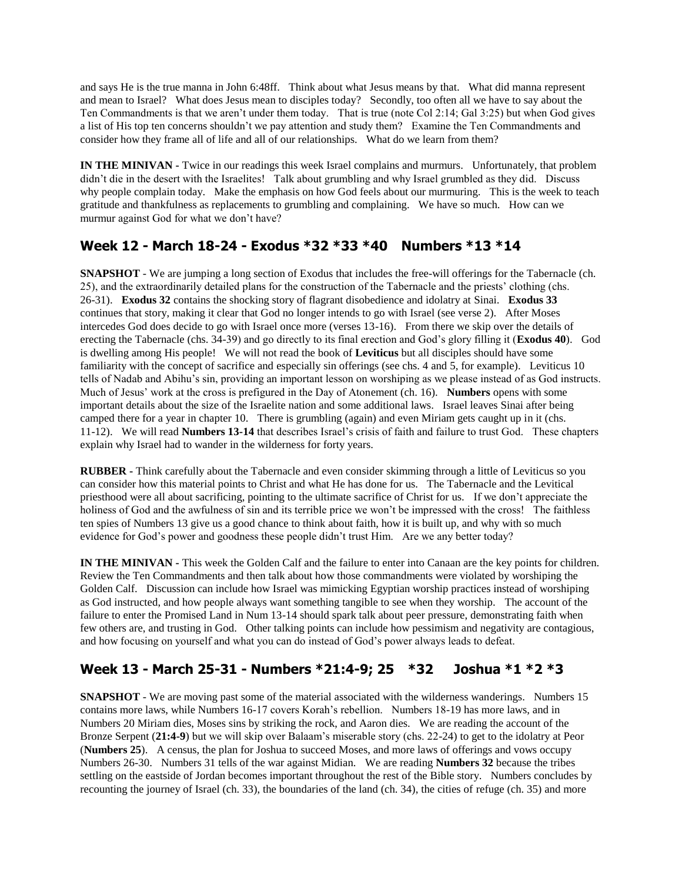and says He is the true manna in John 6:48ff. Think about what Jesus means by that. What did manna represent and mean to Israel? What does Jesus mean to disciples today? Secondly, too often all we have to say about the Ten Commandments is that we aren't under them today. That is true (note Col 2:14; Gal 3:25) but when God gives a list of His top ten concerns shouldn't we pay attention and study them? Examine the Ten Commandments and consider how they frame all of life and all of our relationships. What do we learn from them?

**IN THE MINIVAN -** Twice in our readings this week Israel complains and murmurs. Unfortunately, that problem didn't die in the desert with the Israelites! Talk about grumbling and why Israel grumbled as they did. Discuss why people complain today. Make the emphasis on how God feels about our murmuring. This is the week to teach gratitude and thankfulness as replacements to grumbling and complaining. We have so much. How can we murmur against God for what we don't have?

## **Week 12 - March 18-24 - Exodus \*32 \*33 \*40 Numbers \*13 \*14**

**SNAPSHOT** - We are jumping a long section of Exodus that includes the free-will offerings for the Tabernacle (ch. 25), and the extraordinarily detailed plans for the construction of the Tabernacle and the priests' clothing (chs. 26-31). **Exodus 32** contains the shocking story of flagrant disobedience and idolatry at Sinai. **Exodus 33** continues that story, making it clear that God no longer intends to go with Israel (see verse 2). After Moses intercedes God does decide to go with Israel once more (verses 13-16). From there we skip over the details of erecting the Tabernacle (chs. 34-39) and go directly to its final erection and God's glory filling it (**Exodus 40**). God is dwelling among His people! We will not read the book of **Leviticus** but all disciples should have some familiarity with the concept of sacrifice and especially sin offerings (see chs. 4 and 5, for example). Leviticus 10 tells of Nadab and Abihu's sin, providing an important lesson on worshiping as we please instead of as God instructs. Much of Jesus' work at the cross is prefigured in the Day of Atonement (ch. 16). **Numbers** opens with some important details about the size of the Israelite nation and some additional laws. Israel leaves Sinai after being camped there for a year in chapter 10. There is grumbling (again) and even Miriam gets caught up in it (chs. 11-12). We will read **Numbers 13-14** that describes Israel's crisis of faith and failure to trust God. These chapters explain why Israel had to wander in the wilderness for forty years.

**RUBBER -** Think carefully about the Tabernacle and even consider skimming through a little of Leviticus so you can consider how this material points to Christ and what He has done for us. The Tabernacle and the Levitical priesthood were all about sacrificing, pointing to the ultimate sacrifice of Christ for us. If we don't appreciate the holiness of God and the awfulness of sin and its terrible price we won't be impressed with the cross! The faithless ten spies of Numbers 13 give us a good chance to think about faith, how it is built up, and why with so much evidence for God's power and goodness these people didn't trust Him. Are we any better today?

**IN THE MINIVAN -** This week the Golden Calf and the failure to enter into Canaan are the key points for children. Review the Ten Commandments and then talk about how those commandments were violated by worshiping the Golden Calf. Discussion can include how Israel was mimicking Egyptian worship practices instead of worshiping as God instructed, and how people always want something tangible to see when they worship. The account of the failure to enter the Promised Land in Num 13-14 should spark talk about peer pressure, demonstrating faith when few others are, and trusting in God. Other talking points can include how pessimism and negativity are contagious, and how focusing on yourself and what you can do instead of God's power always leads to defeat.

## **Week 13 - March 25-31 - Numbers \*21:4-9; 25 \*32 Joshua \*1 \*2 \*3**

**SNAPSHOT** - We are moving past some of the material associated with the wilderness wanderings. Numbers 15 contains more laws, while Numbers 16-17 covers Korah's rebellion. Numbers 18-19 has more laws, and in Numbers 20 Miriam dies, Moses sins by striking the rock, and Aaron dies. We are reading the account of the Bronze Serpent (**21:4-9**) but we will skip over Balaam's miserable story (chs. 22-24) to get to the idolatry at Peor (**Numbers 25**). A census, the plan for Joshua to succeed Moses, and more laws of offerings and vows occupy Numbers 26-30. Numbers 31 tells of the war against Midian. We are reading **Numbers 32** because the tribes settling on the eastside of Jordan becomes important throughout the rest of the Bible story. Numbers concludes by recounting the journey of Israel (ch. 33), the boundaries of the land (ch. 34), the cities of refuge (ch. 35) and more